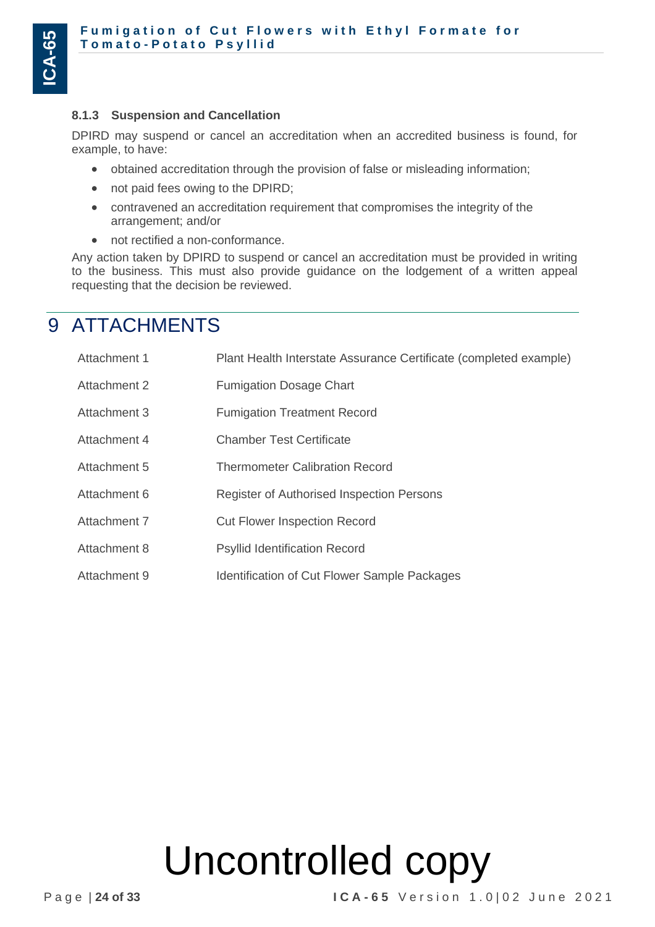### **8.1.3 Suspension and Cancellation**

DPIRD may suspend or cancel an accreditation when an accredited business is found, for example, to have:

- obtained accreditation through the provision of false or misleading information;
- not paid fees owing to the DPIRD;
- contravened an accreditation requirement that compromises the integrity of the arrangement; and/or
- not rectified a non-conformance.

Any action taken by DPIRD to suspend or cancel an accreditation must be provided in writing to the business. This must also provide guidance on the lodgement of a written appeal requesting that the decision be reviewed.

### 9 ATTACHMENTS

| Attachment 1 | Plant Health Interstate Assurance Certificate (completed example) |
|--------------|-------------------------------------------------------------------|
| Attachment 2 | <b>Fumigation Dosage Chart</b>                                    |
| Attachment 3 | <b>Fumigation Treatment Record</b>                                |
| Attachment 4 | <b>Chamber Test Certificate</b>                                   |
| Attachment 5 | <b>Thermometer Calibration Record</b>                             |
| Attachment 6 | Register of Authorised Inspection Persons                         |
| Attachment 7 | <b>Cut Flower Inspection Record</b>                               |
| Attachment 8 | <b>Psyllid Identification Record</b>                              |
| Attachment 9 | <b>Identification of Cut Flower Sample Packages</b>               |

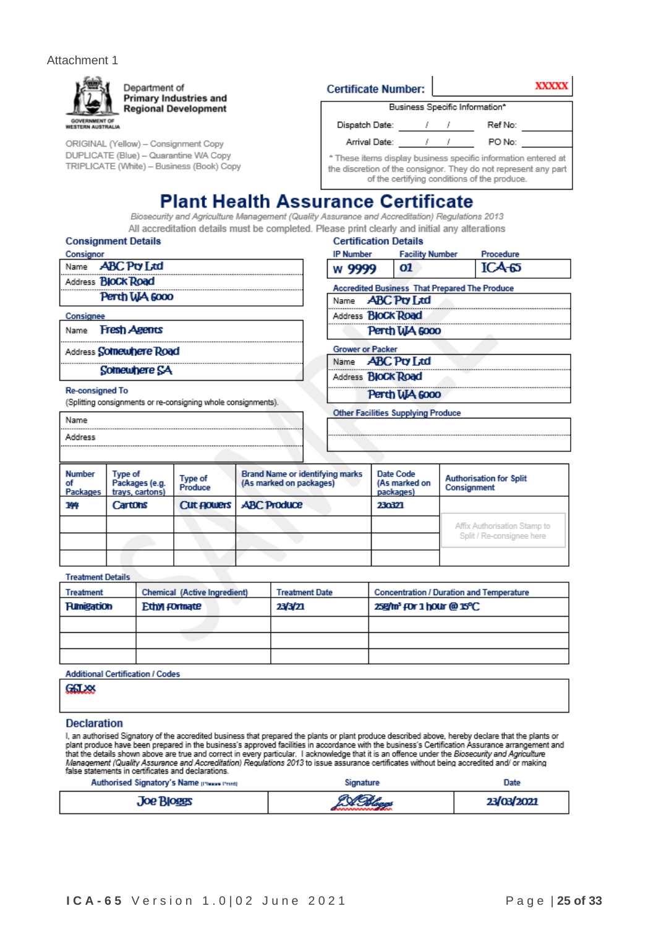### Attachment 1



ORIGINAL (Yellow) - Consignment Copy DUPLICATE (Blue) - Quarantine WA Copy TRIPLICATE (White) - Business (Book) Copy

| <b>Certificate Number:</b> |
|----------------------------|
|----------------------------|



Business Specific Information\*

 $\mathbf{I}$ 

| Dispatch Date:                                                                                                    |  |  | Ref No: |  |
|-------------------------------------------------------------------------------------------------------------------|--|--|---------|--|
| Arrival Date:                                                                                                     |  |  | PO No:  |  |
| * These items display business specific information entered at                                                    |  |  |         |  |
| the discretion of the consignor. They do not represent any part  <br>of the certifying conditions of the produce. |  |  |         |  |

### **Plant Health Assurance Certificate**

Biosecurity and Agriculture Management (Quality Assurance and Accreditation) Regulations 2013 All accreditation details must be completed. Please print clearly and initial any alterations

|  | <b>Consignment Detail</b> |  |
|--|---------------------------|--|
|--|---------------------------|--|

| Consignor |                           |
|-----------|---------------------------|
|           | Name <b>ABC</b> Pry Ltd   |
|           | Address <b>BloCk Road</b> |
|           | Perth WA 6000             |

Consignee

Name Fresh Agents

Address Somewhere Road

Somewhere SA

### **Re-consigned To**

Name Address

(Splitting consignments or re-consigning whole consignments).

| <b>Certification Details</b> |                                                      |           |
|------------------------------|------------------------------------------------------|-----------|
| IP Number                    | <b>Facility Number</b>                               | Procedure |
| w 9999                       | 01                                                   | $ICA-65$  |
|                              | <b>Accredited Business That Prepared The Produce</b> |           |
| Name <b>ABC Pty Ltd</b>      |                                                      |           |
| Address <b>BIOCK Road</b>    |                                                      |           |
|                              | Perth WA 6000                                        |           |
| <b>Grower or Packer</b>      |                                                      |           |
| Name <b>ABC Pty Ltd</b>      |                                                      |           |
| Address <b>BIOCK Road</b>    |                                                      |           |
|                              | Perth WA 6000                                        |           |
|                              | <b>Other Facilities Supplying Produce</b>            |           |
|                              |                                                      |           |

| Number<br>οf<br>Packages | Type of<br>Packages (e.g.<br>trays, cartons) | Type of<br>Produce | <b>Brand Name or identifying marks</b><br>(As marked on packages) | Date Code<br>(As marked on<br>packages) | <b>Authorisation for Split</b><br>Consignment |
|--------------------------|----------------------------------------------|--------------------|-------------------------------------------------------------------|-----------------------------------------|-----------------------------------------------|
| 144                      | Cartons                                      |                    | Cut Flowers   ABC Produce                                         | 230321                                  |                                               |
|                          |                                              |                    |                                                                   |                                         | Affix Authorisation Stamp to                  |
|                          |                                              |                    |                                                                   |                                         | Split / Re-consignee here                     |
|                          |                                              |                    |                                                                   |                                         |                                               |

#### **Treatment Details**

| Treatment         | <b>Chemical (Active Ingredient)</b> | <b>Treatment Date</b> | <b>Concentration / Duration and Temperature</b>   |
|-------------------|-------------------------------------|-----------------------|---------------------------------------------------|
| <b>Fumigation</b> | Ethyl formate                       | 23/3/21               | 25g/m <sup>3</sup> FOr 1 hour @ 15 <sup>o</sup> C |
|                   |                                     |                       |                                                   |
|                   |                                     |                       |                                                   |
|                   |                                     |                       |                                                   |

**Additional Certification / Codes** 

GALXX

### **Declaration**

I, an authorised Signatory of the accredited business that prepared the plants or plant produce described above, hereby declare that the plants or<br>plant produce have been prepared in the business's approved facilities in a false statements in certificates and declarations.

| Authorised Signatory's Name presse Print | Signature | Date       |
|------------------------------------------|-----------|------------|
| <b>Joe Bloggs</b>                        | 2 A Abaas | 23/03/2021 |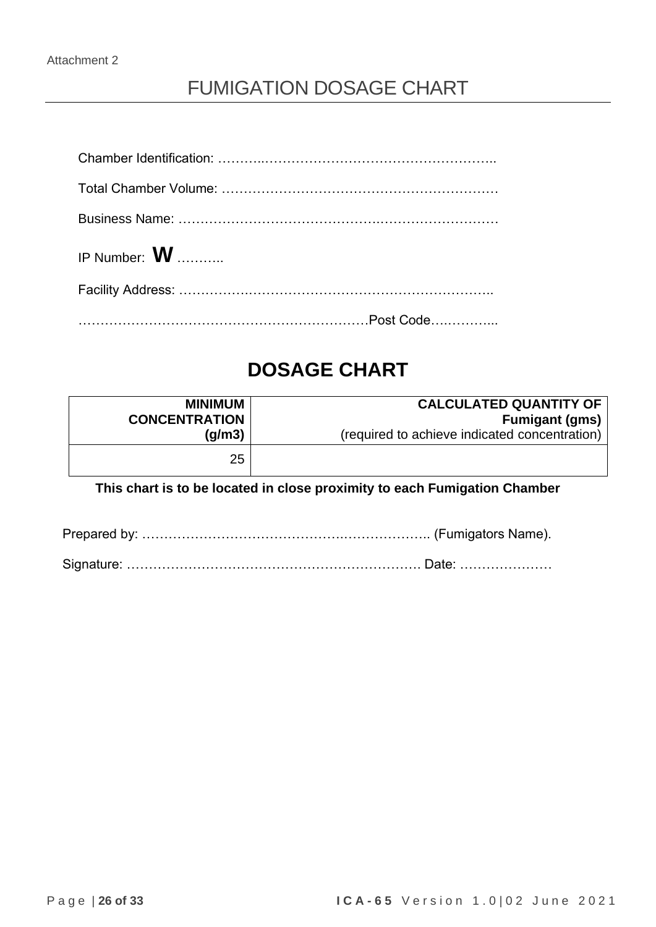## FUMIGATION DOSAGE CHART

| IP Number: $\boldsymbol{W}$ |
|-----------------------------|
|                             |
|                             |

## **DOSAGE CHART**

| <b>MINIMUM</b>       | <b>CALCULATED QUANTITY OF</b>                 |
|----------------------|-----------------------------------------------|
| <b>CONCENTRATION</b> | <b>Fumigant (gms)</b>                         |
| (g/m3)               | (required to achieve indicated concentration) |
| 25                   |                                               |

### **This chart is to be located in close proximity to each Fumigation Chamber**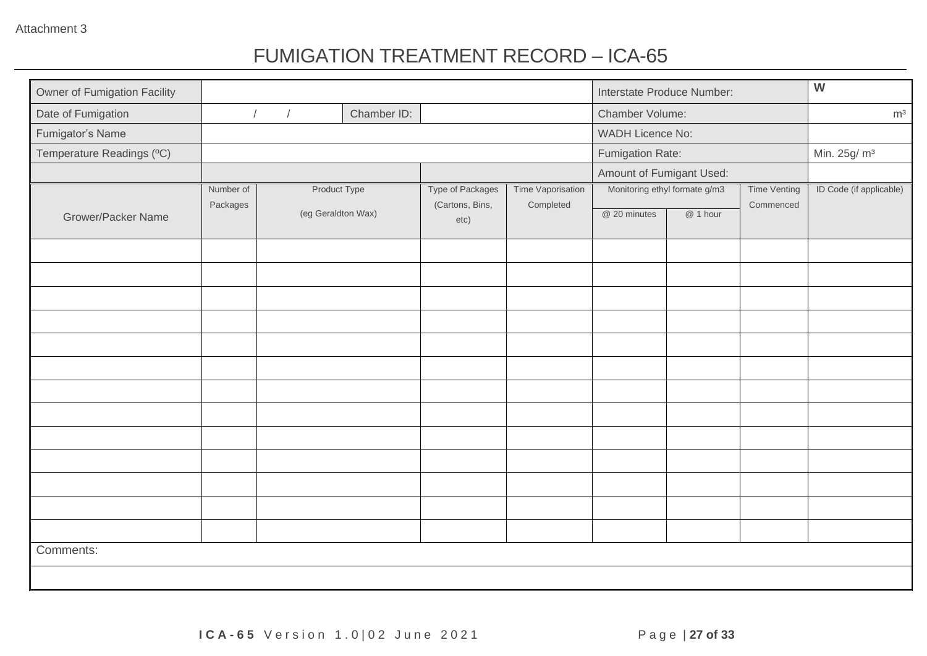## FUMIGATION TREATMENT RECORD – ICA-65

| Owner of Fumigation Facility |           |                          |             |                         |                   |                          | Interstate Produce Number:    |                     | $\overline{W}$           |
|------------------------------|-----------|--------------------------|-------------|-------------------------|-------------------|--------------------------|-------------------------------|---------------------|--------------------------|
| Date of Fumigation           |           | $\sqrt{ }$<br>$\sqrt{ }$ | Chamber ID: |                         |                   | Chamber Volume:          |                               |                     | m <sup>3</sup>           |
| Fumigator's Name             |           |                          |             |                         |                   | <b>WADH Licence No:</b>  |                               |                     |                          |
| Temperature Readings (°C)    |           |                          |             |                         |                   | Fumigation Rate:         |                               |                     | Min. 25g/ m <sup>3</sup> |
|                              |           |                          |             |                         |                   | Amount of Fumigant Used: |                               |                     |                          |
|                              | Number of | Product Type             |             | <b>Type of Packages</b> | Time Vaporisation |                          | Monitoring ethyl formate g/m3 | <b>Time Venting</b> | ID Code (if applicable)  |
| <b>Grower/Packer Name</b>    | Packages  | (eg Geraldton Wax)       |             | (Cartons, Bins,<br>etc) | Completed         | @ 20 minutes             | @ 1 hour                      | Commenced           |                          |
|                              |           |                          |             |                         |                   |                          |                               |                     |                          |
|                              |           |                          |             |                         |                   |                          |                               |                     |                          |
|                              |           |                          |             |                         |                   |                          |                               |                     |                          |
|                              |           |                          |             |                         |                   |                          |                               |                     |                          |
|                              |           |                          |             |                         |                   |                          |                               |                     |                          |
|                              |           |                          |             |                         |                   |                          |                               |                     |                          |
|                              |           |                          |             |                         |                   |                          |                               |                     |                          |
|                              |           |                          |             |                         |                   |                          |                               |                     |                          |
|                              |           |                          |             |                         |                   |                          |                               |                     |                          |
|                              |           |                          |             |                         |                   |                          |                               |                     |                          |
|                              |           |                          |             |                         |                   |                          |                               |                     |                          |
|                              |           |                          |             |                         |                   |                          |                               |                     |                          |
|                              |           |                          |             |                         |                   |                          |                               |                     |                          |
| Comments:                    |           |                          |             |                         |                   |                          |                               |                     |                          |
|                              |           |                          |             |                         |                   |                          |                               |                     |                          |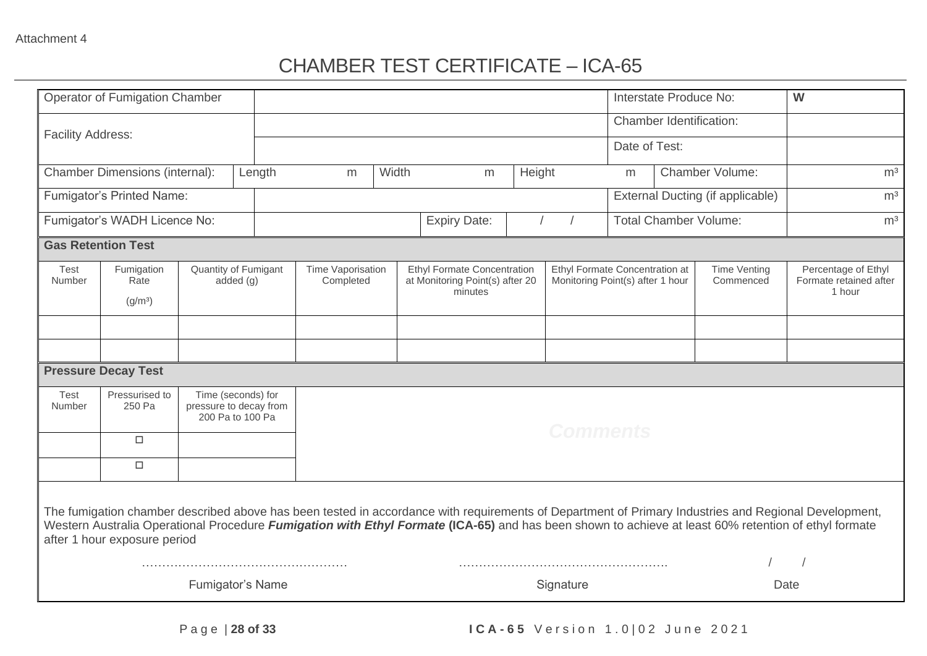## CHAMBER TEST CERTIFICATE – ICA-65

|                           | <b>Operator of Fumigation Chamber</b>                                                                                                                                                                                                                                                                                                        |  |                                                                  |   |                                |                     |                                                                       |                 | Interstate Produce No:                                                                                 |  |                                  | W                                                       |  |
|---------------------------|----------------------------------------------------------------------------------------------------------------------------------------------------------------------------------------------------------------------------------------------------------------------------------------------------------------------------------------------|--|------------------------------------------------------------------|---|--------------------------------|---------------------|-----------------------------------------------------------------------|-----------------|--------------------------------------------------------------------------------------------------------|--|----------------------------------|---------------------------------------------------------|--|
|                           |                                                                                                                                                                                                                                                                                                                                              |  |                                                                  |   |                                |                     |                                                                       |                 |                                                                                                        |  | Chamber Identification:          |                                                         |  |
| <b>Facility Address:</b>  |                                                                                                                                                                                                                                                                                                                                              |  |                                                                  |   |                                |                     |                                                                       |                 | Date of Test:                                                                                          |  |                                  |                                                         |  |
|                           | <b>Chamber Dimensions (internal):</b>                                                                                                                                                                                                                                                                                                        |  | Length                                                           | m | Width                          | m                   | Height                                                                |                 | m                                                                                                      |  | Chamber Volume:                  | m <sup>3</sup>                                          |  |
|                           | Fumigator's Printed Name:                                                                                                                                                                                                                                                                                                                    |  |                                                                  |   |                                |                     |                                                                       |                 |                                                                                                        |  | External Ducting (if applicable) | m <sup>3</sup>                                          |  |
|                           | Fumigator's WADH Licence No:                                                                                                                                                                                                                                                                                                                 |  |                                                                  |   |                                | <b>Expiry Date:</b> |                                                                       |                 |                                                                                                        |  | <b>Total Chamber Volume:</b>     | m <sup>3</sup>                                          |  |
| <b>Gas Retention Test</b> |                                                                                                                                                                                                                                                                                                                                              |  |                                                                  |   |                                |                     |                                                                       |                 |                                                                                                        |  |                                  |                                                         |  |
| Test<br>Number            | Fumigation<br>Rate<br>(g/m <sup>3</sup> )                                                                                                                                                                                                                                                                                                    |  | Quantity of Fumigant<br>added $(q)$                              |   | Time Vaporisation<br>Completed |                     | <b>Ethyl Formate Concentration</b><br>at Monitoring Point(s) after 20 |                 | Ethyl Formate Concentration at<br><b>Time Venting</b><br>Monitoring Point(s) after 1 hour<br>Commenced |  |                                  | Percentage of Ethyl<br>Formate retained after<br>1 hour |  |
|                           |                                                                                                                                                                                                                                                                                                                                              |  |                                                                  |   |                                |                     |                                                                       |                 |                                                                                                        |  |                                  |                                                         |  |
|                           |                                                                                                                                                                                                                                                                                                                                              |  |                                                                  |   |                                |                     |                                                                       |                 |                                                                                                        |  |                                  |                                                         |  |
|                           | <b>Pressure Decay Test</b>                                                                                                                                                                                                                                                                                                                   |  |                                                                  |   |                                |                     |                                                                       |                 |                                                                                                        |  |                                  |                                                         |  |
| Test<br>Number            | Pressurised to<br>250 Pa                                                                                                                                                                                                                                                                                                                     |  | Time (seconds) for<br>pressure to decay from<br>200 Pa to 100 Pa |   |                                |                     |                                                                       |                 |                                                                                                        |  |                                  |                                                         |  |
|                           | $\Box$                                                                                                                                                                                                                                                                                                                                       |  |                                                                  |   |                                |                     |                                                                       | <b>Comments</b> |                                                                                                        |  |                                  |                                                         |  |
|                           | $\Box$                                                                                                                                                                                                                                                                                                                                       |  |                                                                  |   |                                |                     |                                                                       |                 |                                                                                                        |  |                                  |                                                         |  |
|                           | The fumigation chamber described above has been tested in accordance with requirements of Department of Primary Industries and Regional Development,<br>Western Australia Operational Procedure Fumigation with Ethyl Formate (ICA-65) and has been shown to achieve at least 60% retention of ethyl formate<br>after 1 hour exposure period |  |                                                                  |   |                                |                     |                                                                       |                 |                                                                                                        |  |                                  |                                                         |  |
|                           |                                                                                                                                                                                                                                                                                                                                              |  | <b>Fumigator's Name</b>                                          |   |                                |                     |                                                                       | Signature       |                                                                                                        |  |                                  | Date                                                    |  |
|                           |                                                                                                                                                                                                                                                                                                                                              |  |                                                                  |   |                                |                     |                                                                       |                 |                                                                                                        |  |                                  |                                                         |  |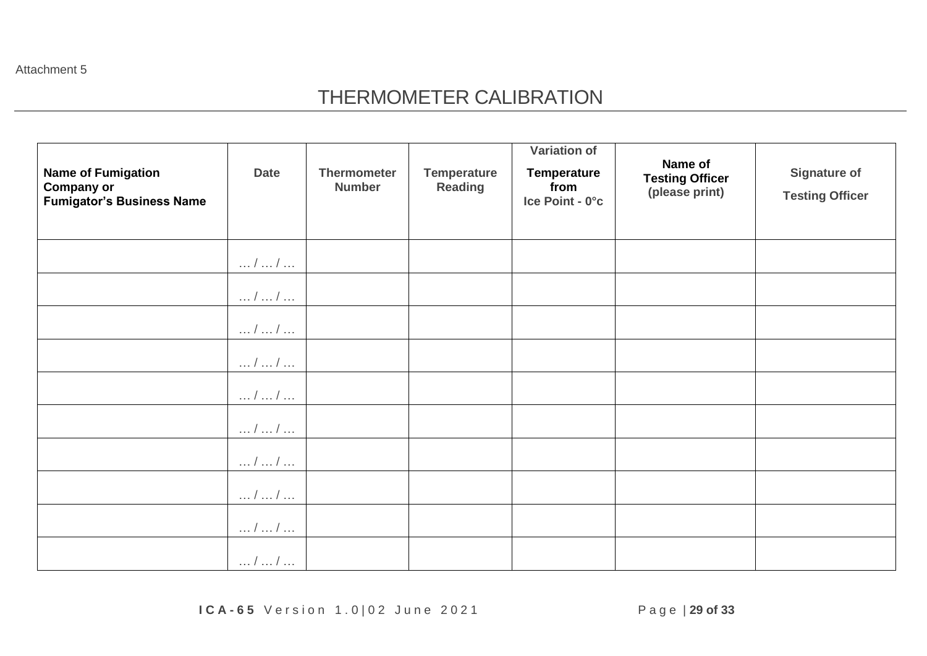Attachment 5

## THERMOMETER CALIBRATION

| <b>Name of Fumigation</b><br><b>Company or</b><br><b>Fumigator's Business Name</b> | <b>Date</b>             | <b>Thermometer</b><br><b>Number</b> | <b>Temperature</b><br><b>Reading</b> | <b>Variation of</b><br><b>Temperature</b><br>from<br>Ice Point - 0°c | Name of<br><b>Testing Officer</b><br>(please print) | <b>Signature of</b><br><b>Testing Officer</b> |
|------------------------------------------------------------------------------------|-------------------------|-------------------------------------|--------------------------------------|----------------------------------------------------------------------|-----------------------------------------------------|-----------------------------------------------|
|                                                                                    | $\dots / \dots / \dots$ |                                     |                                      |                                                                      |                                                     |                                               |
|                                                                                    | $\dots / \dots / \dots$ |                                     |                                      |                                                                      |                                                     |                                               |
|                                                                                    | $\dots / \dots / \dots$ |                                     |                                      |                                                                      |                                                     |                                               |
|                                                                                    | //                      |                                     |                                      |                                                                      |                                                     |                                               |
|                                                                                    | $\dots / \dots / \dots$ |                                     |                                      |                                                                      |                                                     |                                               |
|                                                                                    | $\dots l \dots l \dots$ |                                     |                                      |                                                                      |                                                     |                                               |
|                                                                                    | $\dots / \dots / \dots$ |                                     |                                      |                                                                      |                                                     |                                               |
|                                                                                    | $\dots / \dots / \dots$ |                                     |                                      |                                                                      |                                                     |                                               |
|                                                                                    | $\dots / \dots / \dots$ |                                     |                                      |                                                                      |                                                     |                                               |
|                                                                                    | $/$ $/$                 |                                     |                                      |                                                                      |                                                     |                                               |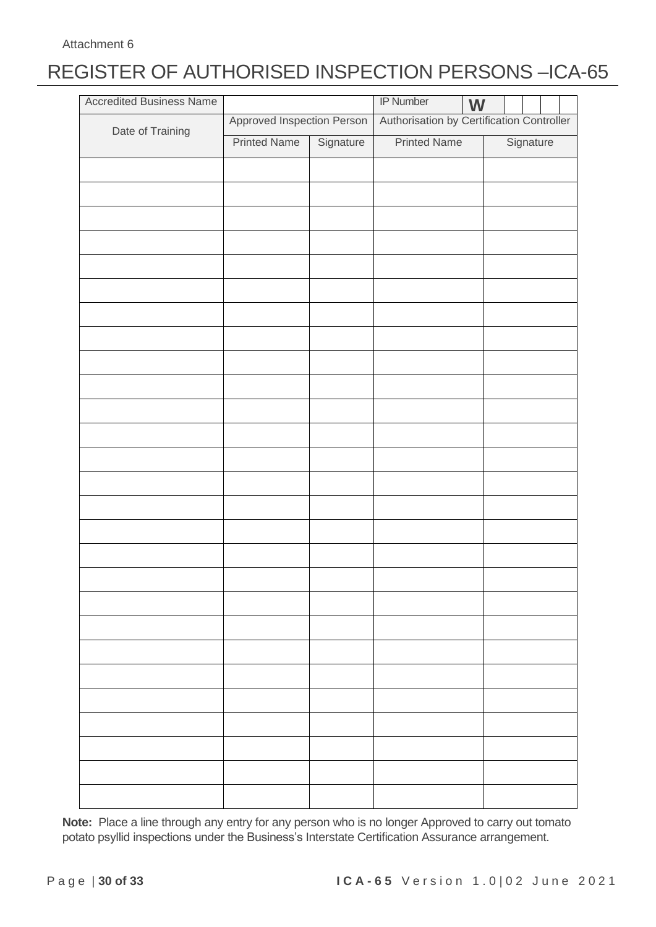# REGISTER OF AUTHORISED INSPECTION PERSONS –ICA-65

| <b>Accredited Business Name</b> |                            |           | <b>IP Number</b>                          | W |  |           |  |
|---------------------------------|----------------------------|-----------|-------------------------------------------|---|--|-----------|--|
|                                 | Approved Inspection Person |           | Authorisation by Certification Controller |   |  |           |  |
| Date of Training                | <b>Printed Name</b>        | Signature | <b>Printed Name</b>                       |   |  | Signature |  |
|                                 |                            |           |                                           |   |  |           |  |
|                                 |                            |           |                                           |   |  |           |  |
|                                 |                            |           |                                           |   |  |           |  |
|                                 |                            |           |                                           |   |  |           |  |
|                                 |                            |           |                                           |   |  |           |  |
|                                 |                            |           |                                           |   |  |           |  |
|                                 |                            |           |                                           |   |  |           |  |
|                                 |                            |           |                                           |   |  |           |  |
|                                 |                            |           |                                           |   |  |           |  |
|                                 |                            |           |                                           |   |  |           |  |
|                                 |                            |           |                                           |   |  |           |  |
|                                 |                            |           |                                           |   |  |           |  |
|                                 |                            |           |                                           |   |  |           |  |
|                                 |                            |           |                                           |   |  |           |  |
|                                 |                            |           |                                           |   |  |           |  |
|                                 |                            |           |                                           |   |  |           |  |
|                                 |                            |           |                                           |   |  |           |  |
|                                 |                            |           |                                           |   |  |           |  |
|                                 |                            |           |                                           |   |  |           |  |
|                                 |                            |           |                                           |   |  |           |  |
|                                 |                            |           |                                           |   |  |           |  |
|                                 |                            |           |                                           |   |  |           |  |
|                                 |                            |           |                                           |   |  |           |  |
|                                 |                            |           |                                           |   |  |           |  |
|                                 |                            |           |                                           |   |  |           |  |
|                                 |                            |           |                                           |   |  |           |  |
|                                 |                            |           |                                           |   |  |           |  |
|                                 |                            |           |                                           |   |  |           |  |

**Note:** Place a line through any entry for any person who is no longer Approved to carry out tomato potato psyllid inspections under the Business's Interstate Certification Assurance arrangement.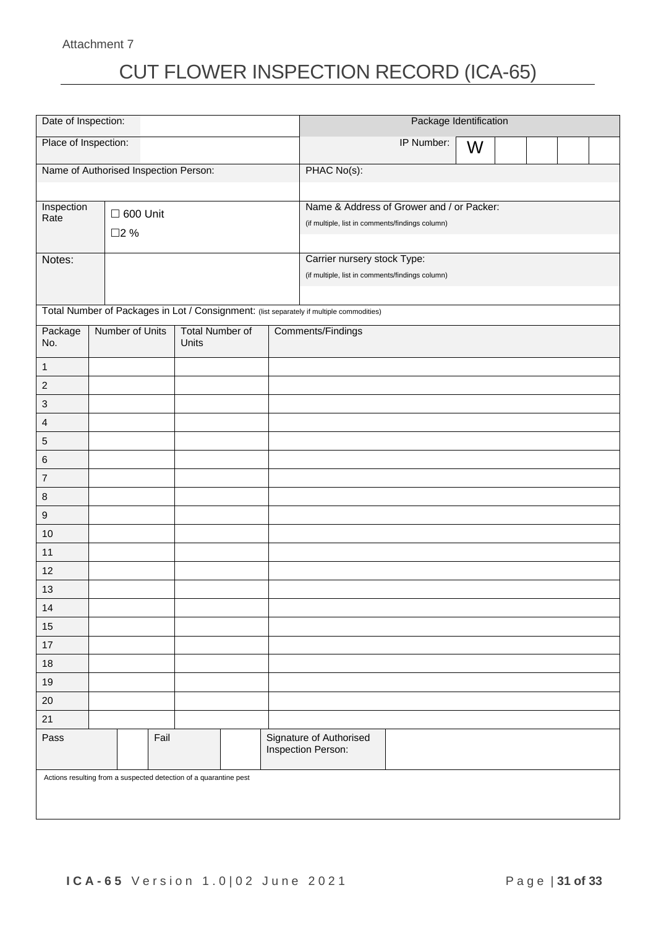Attachment 7

# CUT FLOWER INSPECTION RECORD (ICA-65)

| Date of Inspection:                   |                                                                   |      |                        |  |  | Package Identification                                                                   |            |   |  |  |  |  |
|---------------------------------------|-------------------------------------------------------------------|------|------------------------|--|--|------------------------------------------------------------------------------------------|------------|---|--|--|--|--|
|                                       | Place of Inspection:                                              |      |                        |  |  |                                                                                          | IP Number: | W |  |  |  |  |
| Name of Authorised Inspection Person: |                                                                   |      |                        |  |  | PHAC No(s):                                                                              |            |   |  |  |  |  |
|                                       |                                                                   |      |                        |  |  |                                                                                          |            |   |  |  |  |  |
| Inspection                            | $\Box$ 600 Unit                                                   |      |                        |  |  | Name & Address of Grower and / or Packer:                                                |            |   |  |  |  |  |
| Rate                                  | □2 %                                                              |      |                        |  |  | (if multiple, list in comments/findings column)                                          |            |   |  |  |  |  |
|                                       |                                                                   |      |                        |  |  |                                                                                          |            |   |  |  |  |  |
| Notes:                                |                                                                   |      |                        |  |  | Carrier nursery stock Type:                                                              |            |   |  |  |  |  |
|                                       |                                                                   |      |                        |  |  | (if multiple, list in comments/findings column)                                          |            |   |  |  |  |  |
|                                       |                                                                   |      |                        |  |  | Total Number of Packages in Lot / Consignment: (list separately if multiple commodities) |            |   |  |  |  |  |
| Package                               | Number of Units                                                   |      | <b>Total Number of</b> |  |  | Comments/Findings                                                                        |            |   |  |  |  |  |
| No.                                   |                                                                   |      | Units                  |  |  |                                                                                          |            |   |  |  |  |  |
| $\mathbf{1}$                          |                                                                   |      |                        |  |  |                                                                                          |            |   |  |  |  |  |
| $\boldsymbol{2}$                      |                                                                   |      |                        |  |  |                                                                                          |            |   |  |  |  |  |
| 3                                     |                                                                   |      |                        |  |  |                                                                                          |            |   |  |  |  |  |
| 4                                     |                                                                   |      |                        |  |  |                                                                                          |            |   |  |  |  |  |
| 5                                     |                                                                   |      |                        |  |  |                                                                                          |            |   |  |  |  |  |
| 6                                     |                                                                   |      |                        |  |  |                                                                                          |            |   |  |  |  |  |
| $\overline{7}$                        |                                                                   |      |                        |  |  |                                                                                          |            |   |  |  |  |  |
| 8                                     |                                                                   |      |                        |  |  |                                                                                          |            |   |  |  |  |  |
| $\boldsymbol{9}$                      |                                                                   |      |                        |  |  |                                                                                          |            |   |  |  |  |  |
| 10                                    |                                                                   |      |                        |  |  |                                                                                          |            |   |  |  |  |  |
| 11                                    |                                                                   |      |                        |  |  |                                                                                          |            |   |  |  |  |  |
| 12                                    |                                                                   |      |                        |  |  |                                                                                          |            |   |  |  |  |  |
| 13                                    |                                                                   |      |                        |  |  |                                                                                          |            |   |  |  |  |  |
| 14                                    |                                                                   |      |                        |  |  |                                                                                          |            |   |  |  |  |  |
| 15                                    |                                                                   |      |                        |  |  |                                                                                          |            |   |  |  |  |  |
| 17                                    |                                                                   |      |                        |  |  |                                                                                          |            |   |  |  |  |  |
| $18$                                  |                                                                   |      |                        |  |  |                                                                                          |            |   |  |  |  |  |
| 19                                    |                                                                   |      |                        |  |  |                                                                                          |            |   |  |  |  |  |
| $20\,$                                |                                                                   |      |                        |  |  |                                                                                          |            |   |  |  |  |  |
| 21                                    |                                                                   |      |                        |  |  |                                                                                          |            |   |  |  |  |  |
| Pass                                  |                                                                   | Fail |                        |  |  | Signature of Authorised<br>Inspection Person:                                            |            |   |  |  |  |  |
|                                       | Actions resulting from a suspected detection of a quarantine pest |      |                        |  |  |                                                                                          |            |   |  |  |  |  |
|                                       |                                                                   |      |                        |  |  |                                                                                          |            |   |  |  |  |  |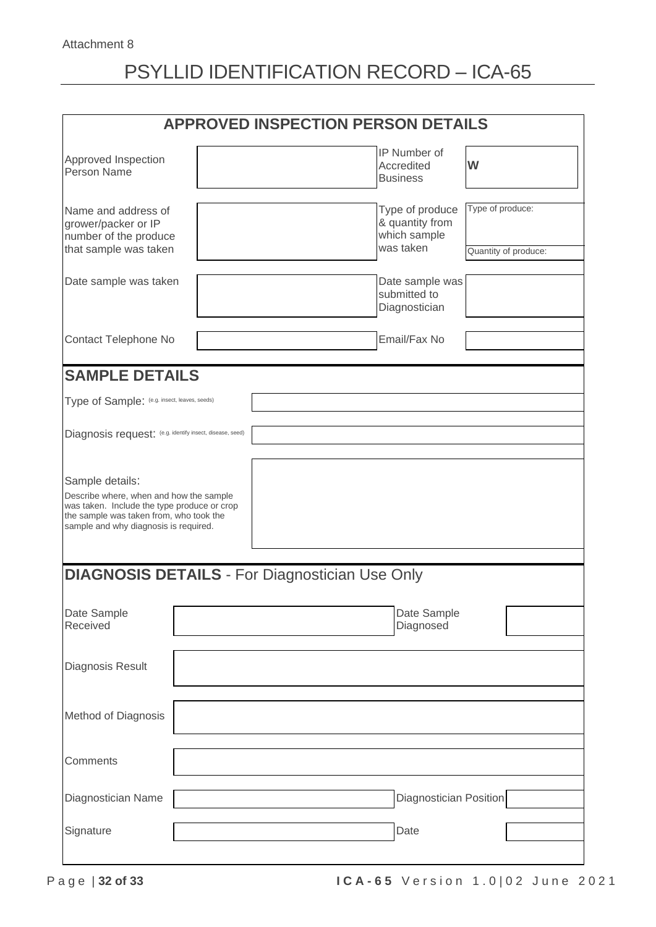# PSYLLID IDENTIFICATION RECORD – ICA-65

|                                                                                                                                                                                               |  | <b>APPROVED INSPECTION PERSON DETAILS</b>                       |                                          |
|-----------------------------------------------------------------------------------------------------------------------------------------------------------------------------------------------|--|-----------------------------------------------------------------|------------------------------------------|
| Approved Inspection<br>Person Name                                                                                                                                                            |  | IP Number of<br>Accredited<br><b>Business</b>                   | W                                        |
| Name and address of<br>grower/packer or IP<br>number of the produce<br>that sample was taken                                                                                                  |  | Type of produce<br>& quantity from<br>which sample<br>was taken | Type of produce:<br>Quantity of produce: |
| Date sample was taken                                                                                                                                                                         |  | Date sample was<br>submitted to<br>Diagnostician                |                                          |
| Contact Telephone No                                                                                                                                                                          |  | Email/Fax No                                                    |                                          |
| <b>SAMPLE DETAILS</b>                                                                                                                                                                         |  |                                                                 |                                          |
| Type of Sample: (e.g. insect, leaves, seeds)                                                                                                                                                  |  |                                                                 |                                          |
| Diagnosis request: (e.g. identify insect, disease, seed)                                                                                                                                      |  |                                                                 |                                          |
| Sample details:<br>Describe where, when and how the sample<br>was taken. Include the type produce or crop<br>the sample was taken from, who took the<br>sample and why diagnosis is required. |  |                                                                 |                                          |
| <b>DIAGNOSIS DETAILS - For Diagnostician Use Only</b>                                                                                                                                         |  |                                                                 |                                          |
| Date Sample<br>Received                                                                                                                                                                       |  | Date Sample<br>Diagnosed                                        |                                          |
| Diagnosis Result                                                                                                                                                                              |  |                                                                 |                                          |
| Method of Diagnosis                                                                                                                                                                           |  |                                                                 |                                          |
| Comments                                                                                                                                                                                      |  |                                                                 |                                          |
| Diagnostician Name                                                                                                                                                                            |  | <b>Diagnostician Position</b>                                   |                                          |
| Signature                                                                                                                                                                                     |  | Date                                                            |                                          |